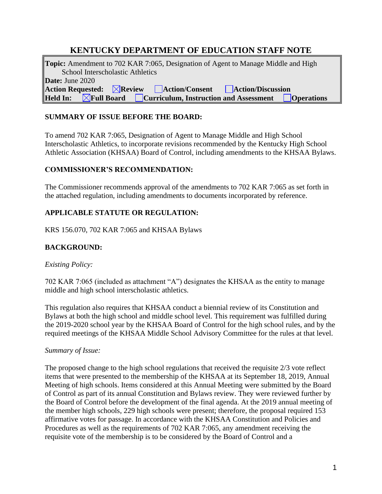# **KENTUCKY DEPARTMENT OF EDUCATION STAFF NOTE**

**Topic:** Amendment to 702 KAR 7:065, Designation of Agent to Manage Middle and High School Interscholastic Athletics **Date:** June 2020 **Action Requested: Review Action/Consent Action/Discussion Held In:**  $\boxed{\phantom{\cdot}}$ **Full Board**  $\boxed{\phantom{\cdot}}$  Curriculum, Instruction and Assessment  $\boxed{\phantom{\cdot}}$  Operations

### **SUMMARY OF ISSUE BEFORE THE BOARD:**

To amend 702 KAR 7:065, Designation of Agent to Manage Middle and High School Interscholastic Athletics, to incorporate revisions recommended by the Kentucky High School Athletic Association (KHSAA) Board of Control, including amendments to the KHSAA Bylaws.

### **COMMISSIONER'S RECOMMENDATION:**

The Commissioner recommends approval of the amendments to 702 KAR 7:065 as set forth in the attached regulation, including amendments to documents incorporated by reference.

# **APPLICABLE STATUTE OR REGULATION:**

KRS 156.070, 702 KAR 7:065 and KHSAA Bylaws

# **BACKGROUND:**

#### *Existing Policy:*

702 KAR 7:065 (included as attachment "A") designates the KHSAA as the entity to manage middle and high school interscholastic athletics.

This regulation also requires that KHSAA conduct a biennial review of its Constitution and Bylaws at both the high school and middle school level. This requirement was fulfilled during the 2019-2020 school year by the KHSAA Board of Control for the high school rules, and by the required meetings of the KHSAA Middle School Advisory Committee for the rules at that level.

#### *Summary of Issue:*

The proposed change to the high school regulations that received the requisite 2/3 vote reflect items that were presented to the membership of the KHSAA at its September 18, 2019, Annual Meeting of high schools. Items considered at this Annual Meeting were submitted by the Board of Control as part of its annual Constitution and Bylaws review. They were reviewed further by the Board of Control before the development of the final agenda. At the 2019 annual meeting of the member high schools, 229 high schools were present; therefore, the proposal required 153 affirmative votes for passage. In accordance with the KHSAA Constitution and Policies and Procedures as well as the requirements of 702 KAR 7:065, any amendment receiving the requisite vote of the membership is to be considered by the Board of Control and a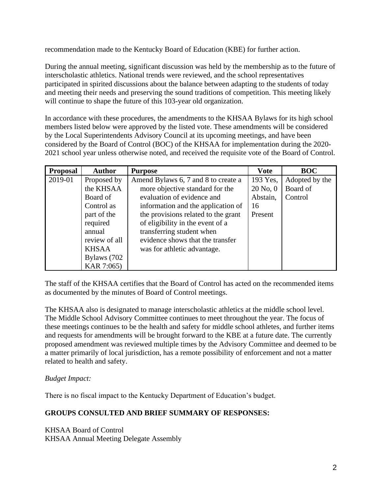recommendation made to the Kentucky Board of Education (KBE) for further action.

During the annual meeting, significant discussion was held by the membership as to the future of interscholastic athletics. National trends were reviewed, and the school representatives participated in spirited discussions about the balance between adapting to the students of today and meeting their needs and preserving the sound traditions of competition. This meeting likely will continue to shape the future of this 103-year old organization.

In accordance with these procedures, the amendments to the KHSAA Bylaws for its high school members listed below were approved by the listed vote. These amendments will be considered by the Local Superintendents Advisory Council at its upcoming meetings, and have been considered by the Board of Control (BOC) of the KHSAA for implementation during the 2020- 2021 school year unless otherwise noted, and received the requisite vote of the Board of Control.

| <b>Proposal</b> | <b>Author</b> | <b>Purpose</b>                      | <b>Vote</b>  | <b>BOC</b>     |
|-----------------|---------------|-------------------------------------|--------------|----------------|
| 2019-01         | Proposed by   | Amend Bylaws 6, 7 and 8 to create a | 193 Yes,     | Adopted by the |
|                 | the KHSAA     | more objective standard for the     | $20$ No, $0$ | Board of       |
|                 | Board of      | evaluation of evidence and          | Abstain,     | Control        |
|                 | Control as    | information and the application of  | 16           |                |
|                 | part of the   | the provisions related to the grant | Present      |                |
|                 | required      | of eligibility in the event of a    |              |                |
|                 | annual        | transferring student when           |              |                |
|                 | review of all | evidence shows that the transfer    |              |                |
|                 | <b>KHSAA</b>  | was for athletic advantage.         |              |                |
|                 | Bylaws (702   |                                     |              |                |
|                 | KAR 7:065)    |                                     |              |                |

The staff of the KHSAA certifies that the Board of Control has acted on the recommended items as documented by the minutes of Board of Control meetings.

The KHSAA also is designated to manage interscholastic athletics at the middle school level. The Middle School Advisory Committee continues to meet throughout the year. The focus of these meetings continues to be the health and safety for middle school athletes, and further items and requests for amendments will be brought forward to the KBE at a future date. The currently proposed amendment was reviewed multiple times by the Advisory Committee and deemed to be a matter primarily of local jurisdiction, has a remote possibility of enforcement and not a matter related to health and safety.

#### *Budget Impact:*

There is no fiscal impact to the Kentucky Department of Education's budget.

# **GROUPS CONSULTED AND BRIEF SUMMARY OF RESPONSES:**

KHSAA Board of Control KHSAA Annual Meeting Delegate Assembly